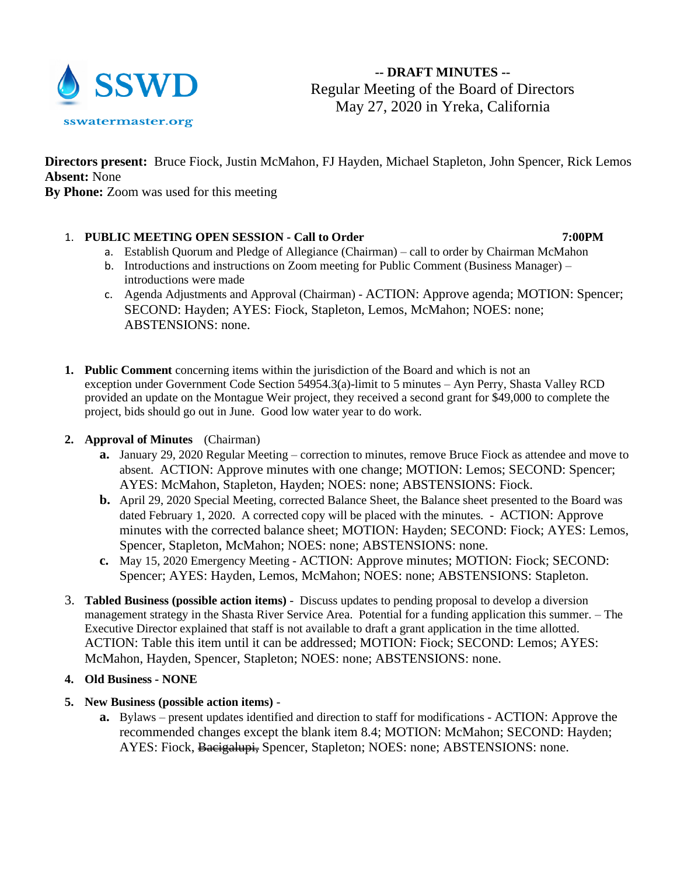

**-- DRAFT MINUTES --** Regular Meeting of the Board of Directors May 27, 2020 in Yreka, California

**Directors present:** Bruce Fiock, Justin McMahon, FJ Hayden, Michael Stapleton, John Spencer, Rick Lemos **Absent:** None

**By Phone:** Zoom was used for this meeting

# 1. **PUBLIC MEETING OPEN SESSION - Call to Order 7:00PM**

- a. Establish Quorum and Pledge of Allegiance (Chairman) call to order by Chairman McMahon
- b. Introductions and instructions on Zoom meeting for Public Comment (Business Manager) introductions were made
- c. Agenda Adjustments and Approval (Chairman) ACTION: Approve agenda; MOTION: Spencer; SECOND: Hayden; AYES: Fiock, Stapleton, Lemos, McMahon; NOES: none; ABSTENSIONS: none.
- **1. Public Comment** concerning items within the jurisdiction of the Board and which is not an exception under Government Code Section 54954.3(a)-limit to 5 minutes – Ayn Perry, Shasta Valley RCD provided an update on the Montague Weir project, they received a second grant for \$49,000 to complete the project, bids should go out in June. Good low water year to do work.

## **2. Approval of Minutes** (Chairman)

- **a.** January 29, 2020 Regular Meeting correction to minutes, remove Bruce Fiock as attendee and move to absent. ACTION: Approve minutes with one change; MOTION: Lemos; SECOND: Spencer; AYES: McMahon, Stapleton, Hayden; NOES: none; ABSTENSIONS: Fiock.
- **b.** April 29, 2020 Special Meeting, corrected Balance Sheet, the Balance sheet presented to the Board was dated February 1, 2020. A corrected copy will be placed with the minutes. - ACTION: Approve minutes with the corrected balance sheet; MOTION: Hayden; SECOND: Fiock; AYES: Lemos, Spencer, Stapleton, McMahon; NOES: none; ABSTENSIONS: none.
- **c.** May 15, 2020 Emergency Meeting ACTION: Approve minutes; MOTION: Fiock; SECOND: Spencer; AYES: Hayden, Lemos, McMahon; NOES: none; ABSTENSIONS: Stapleton.
- 3. **Tabled Business (possible action items)**  Discuss updates to pending proposal to develop a diversion management strategy in the Shasta River Service Area. Potential for a funding application this summer. – The Executive Director explained that staff is not available to draft a grant application in the time allotted. ACTION: Table this item until it can be addressed; MOTION: Fiock; SECOND: Lemos; AYES: McMahon, Hayden, Spencer, Stapleton; NOES: none; ABSTENSIONS: none.

## **4. Old Business - NONE**

- **5. New Business (possible action items)** 
	- **a.** Bylaws present updates identified and direction to staff for modifications ACTION: Approve the recommended changes except the blank item 8.4; MOTION: McMahon; SECOND: Hayden; AYES: Fiock, Bacigalupi, Spencer, Stapleton; NOES: none; ABSTENSIONS: none.